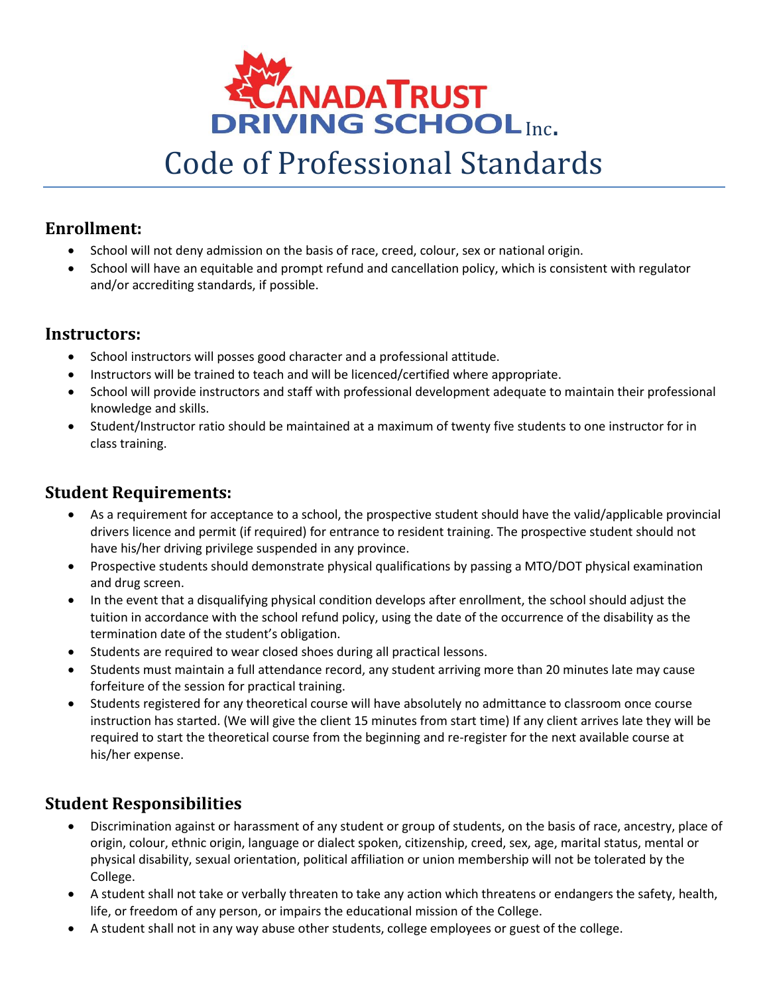

# Code of Professional Standards

## **Enrollment:**

- School will not deny admission on the basis of race, creed, colour, sex or national origin.
- School will have an equitable and prompt refund and cancellation policy, which is consistent with regulator and/or accrediting standards, if possible.

## **Instructors:**

- School instructors will posses good character and a professional attitude.
- Instructors will be trained to teach and will be licenced/certified where appropriate.
- School will provide instructors and staff with professional development adequate to maintain their professional knowledge and skills.
- Student/Instructor ratio should be maintained at a maximum of twenty five students to one instructor for in class training.

## **Student Requirements:**

- As a requirement for acceptance to a school, the prospective student should have the valid/applicable provincial drivers licence and permit (if required) for entrance to resident training. The prospective student should not have his/her driving privilege suspended in any province.
- Prospective students should demonstrate physical qualifications by passing a MTO/DOT physical examination and drug screen.
- In the event that a disqualifying physical condition develops after enrollment, the school should adjust the tuition in accordance with the school refund policy, using the date of the occurrence of the disability as the termination date of the student's obligation.
- Students are required to wear closed shoes during all practical lessons.
- Students must maintain a full attendance record, any student arriving more than 20 minutes late may cause forfeiture of the session for practical training.
- Students registered for any theoretical course will have absolutely no admittance to classroom once course instruction has started. (We will give the client 15 minutes from start time) If any client arrives late they will be required to start the theoretical course from the beginning and re-register for the next available course at his/her expense.

## **Student Responsibilities**

- Discrimination against or harassment of any student or group of students, on the basis of race, ancestry, place of origin, colour, ethnic origin, language or dialect spoken, citizenship, creed, sex, age, marital status, mental or physical disability, sexual orientation, political affiliation or union membership will not be tolerated by the College.
- A student shall not take or verbally threaten to take any action which threatens or endangers the safety, health, life, or freedom of any person, or impairs the educational mission of the College.
- A student shall not in any way abuse other students, college employees or guest of the college.